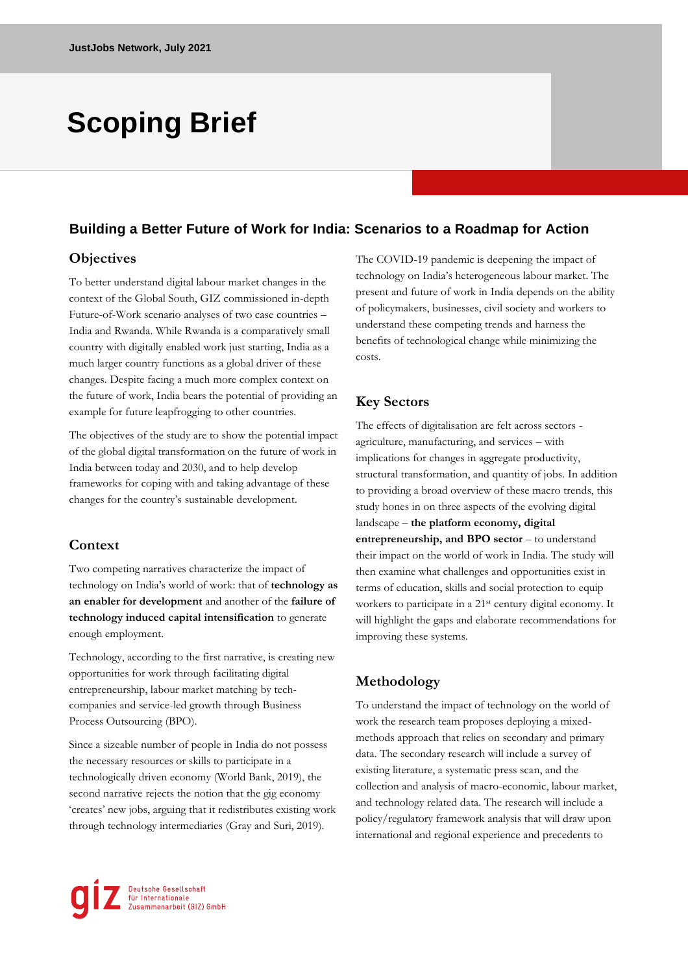# **Scoping Brief**

#### **Building a Better Future of Work for India: Scenarios to a Roadmap for Action**

#### **Objectives**

To better understand digital labour market changes in the context of the Global South, GIZ commissioned in-depth Future-of-Work scenario analyses of two case countries – India and Rwanda. While Rwanda is a comparatively small country with digitally enabled work just starting, India as a much larger country functions as a global driver of these changes. Despite facing a much more complex context on the future of work, India bears the potential of providing an example for future leapfrogging to other countries.

The objectives of the study are to show the potential impact of the global digital transformation on the future of work in India between today and 2030, and to help develop frameworks for coping with and taking advantage of these changes for the country's sustainable development.

#### **Context**

Two competing narratives characterize the impact of technology on India's world of work: that of **technology as an enabler for development** and another of the **failure of technology induced capital intensification** to generate enough employment.

Technology, according to the first narrative, is creating new opportunities for work through facilitating digital entrepreneurship, labour market matching by techcompanies and service-led growth through Business Process Outsourcing (BPO).

Since a sizeable number of people in India do not possess the necessary resources or skills to participate in a technologically driven economy (World Bank, 2019), the second narrative rejects the notion that the gig economy 'creates' new jobs, arguing that it redistributes existing work through technology intermediaries (Gray and Suri, 2019).

The COVID-19 pandemic is deepening the impact of technology on India's heterogeneous labour market. The present and future of work in India depends on the ability of policymakers, businesses, civil society and workers to understand these competing trends and harness the benefits of technological change while minimizing the costs.

# **Key Sectors**

The effects of digitalisation are felt across sectors agriculture, manufacturing, and services – with implications for changes in aggregate productivity, structural transformation, and quantity of jobs. In addition to providing a broad overview of these macro trends, this study hones in on three aspects of the evolving digital landscape – **the platform economy, digital entrepreneurship, and BPO sector** – to understand their impact on the world of work in India. The study will then examine what challenges and opportunities exist in terms of education, skills and social protection to equip workers to participate in a 21<sup>st</sup> century digital economy. It will highlight the gaps and elaborate recommendations for improving these systems.

# **Methodology**

To understand the impact of technology on the world of work the research team proposes deploying a mixedmethods approach that relies on secondary and primary data. The secondary research will include a survey of existing literature, a systematic press scan, and the collection and analysis of macro-economic, labour market, and technology related data. The research will include a policy/regulatory framework analysis that will draw upon international and regional experience and precedents to